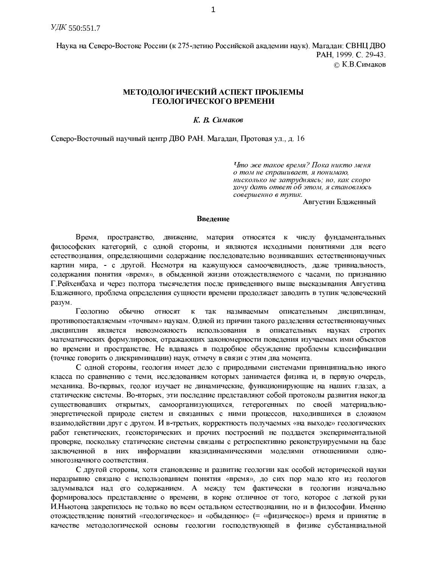Наука на Северо-Востоке России (к 275-летию Российской академии наук). Магадан: СВНЦ ДВО PAH, 1999. C. 29-43. ⊙ К.В.Симаков

# МЕТОДОЛОГИЧЕСКИЙ АСПЕКТ ПРОБЛЕМЫ ГЕОЛОГИЧЕСКОГО ВРЕМЕНИ

# К. В. Симаков

Северо-Восточный научный центр ДВО РАН. Магадан, Протовая ул., д. 16

Что же такое время? Пока никто меня о том не спрашивает, я понимаю, нисколько не затрудняясь; но, как скоро хочу дать ответ об этом, я становлюсь совершенно в тупик.

Августин Блаженный

# Введение

Время, пространство, движение, материя относятся к числу фундаментальных философских категорий, с одной стороны, и являются исходными понятиями для всего естествознания, определяющими содержание последовательно возникавших естественнонаучных картин мира, - с другой. Несмотря на кажущуюся самоочевидность, даже тривиальность, содержания понятия «время», в обыденной жизни отождествляемого с часами, по признанию Г. Рейхенбаха и через полтора тысячелетия после приведенного выше высказывания Августина Блаженного, проблема определения сущности времени продолжает заводить в тупик человеческий разум.

Геологию обычно относят так называемым описательным дисциплинам,  $\bf K$ противопоставляемым «точным» наукам. Одной из причин такого разделения естественнонаучных дисциплин является невозможность использования в описательных науках строгих математических формулировок, отражающих закономерности поведения изучаемых ими объектов во времени и пространстве. Не вдаваясь в подробное обсуждение проблемы классификации (точнее говорить о дискриминации) наук, отмечу в связи с этим два момента.

С одной стороны, геология имеет дело с природными системами принципиально иного класса по сравнению с теми, исследованием которых занимается физика и, в первую очередь, механика. Во-первых, геолог изучает не динамические, функционирующие на наших глазах, а статические системы. Во-вторых, эти последние представляют собой протоколы развития некогда существовавших открытых, самоорганизующихся, гетерогенных по своей материальноэнергетической природе систем и связанных с ними процессов, находившихся в сложном взаимодействии друг с другом. И в-третьих, корректность получаемых «на выходе» геологических работ генетических, геоисторических и прочих построений не поддается экспериментальной проверке, поскольку статические системы связаны с ретроспективно реконструируемыми на базе заключенной в них информации квазидинамическими моделями отношениями одномногозначного соответствия.

С другой стороны, хотя становление и развитие геологии как особой исторической науки неразрывно связано с использованием понятия «время», до сих пор мало кто из геологов задумывался над его содержанием. А между тем фактически в геологии изначально формировалось представление о времени, в корне отличное от того, которое с легкой руки И. Ньютона закрепилось не только во всем остальном естествознании, но и в философии. Именно отождествление понятий «геологическое» и «обыденное» (= «физическое») время и принятие в качестве методологической основы геологии господствующей в физике субстанциальной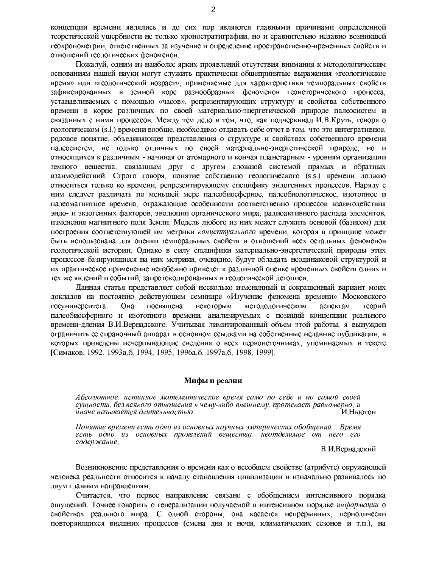концепции времени являлись и до сих пор являются главными причинами определенной теоретической ущербности не только хроностратиграфии, но и сравнительно недавно возникшей геохронометрии, ответственных за изучение и определение пространственно-временных свойств и отношений геологических феноменов.

Пожалуй, одним из наиболее ярких проявлений отсутствия внимания к методологическим основаниям нашей науки могут служить практически общепринятые выражения «геологическое время» или «геологический возраст», применяемые для характеристики темпоральных свойств зафиксированных в земной коре разнообразных феноменов геоисторического процесса, устанавливаемых с помощью «часов», репрезентирующих структуру и свойства собственного времени в корне различных по своей материально-энергетической природе палеосистем и связанных с ними процессов. Между тем дело в том, что, как подчеркивал И.В. Круть, говоря о геологическом (s.l.) времени вообще, необходимо отдавать себе отчет в том, что это интегративное, родовое понятие, объединяющее представления о структуре и свойствах собственного времени палеосистем, не только отличных по своей материально-энергетической природе, но и относящихся к различным - начиная от атомарного и кончая планетарным - уровням организации земного вещества, связанным друг с другом сложной системой прямых и обратных взаимодействий. Строго говоря, понятие собственно геологического (s.s.) времени должно относиться только ко времени, репрезентирующему специфику эндогенных процессов. Наряду с ним следует различать по меньшей мере палеобиосферное, палеобиологическое, изотопное и палеомагнитное времена, отражающие особенности соответственно процессов взаимодействия эндо- и экзогенных факторов, эволюции органического мира, радиоактивного распада элементов, изменения магнитного поля Земли. Модель любого из них может служить основой (базисом) для построения соответствующей им метрики концептуального времени, которая в принципе может быть использована для оценки темпоральных свойств и отношений всех остальных феноменов геологической истории. Однако в силу специфики материально-энергетической природы этих процессов базирующиеся на них метрики, очевидно, будут обладать неодинаковой структурой и их практическое применение неизбежно приведет к различной оценке временных свойств одних и тех же явлений и событий, запротоколированных в геологической летописи.

Данная статья представляет собой несколько измененный и сокращенный вариант моих докладов на постоянно действующем семинаре «Изучение феномена времени» Московского госуниверситета. Она посвящена некоторым методологическим аспектам теорий палеобиосферного и изотопного времени, анализируемых с позиций концепции реального времени-дления В.И.Вернадского. Учитывая лимитированный объем этой работы, я вынужден ограничить ее справочный аппарат в основном ссылками на собственные недавние публикации, в которых приведены исчерпывающие сведения о всех первоисточниках, упоминаемых в тексте [Симаков, 1992, 1993а, б, 1994, 1995, 1996а, б, 1997а, б, 1998, 1999].

#### Мифы и реалии

Абсолютное, истинное математическое время само по себе и по самой своей сущности, без всякого отношения к чему-либо внешнему, протекает равномерно, и И.Ньютон иначе называется длительностью.

Понятие времени есть одно из основных научных эмпирических обобщений... Время есть одно из основных проявлений вещества, неотделимое от него его содержание.

В.И.Вернадский

Возникновение представления о времени как о всеобщем свойстве (атрибуте) окружающей человека реальности относится к началу становления цивилизации и изначально развивалось по двум главным направлениям.

Считается, что первое направление связано с обобщением интенсивного порядка ощущений. Точнее говорить о генерализации получаемой в интенсивном порядке информации о свойствах реального мира. С одной стороны, она касается непрерывных, периодически повторяющихся внешних процессов (смена дня и ночи, климатических сезонов и т.п.), на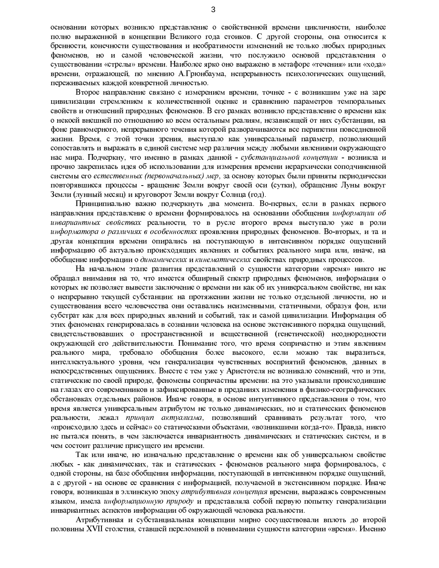основании которых возникло представление о свойственной времени цикличности, наиболее полно выраженной в концепции Великого года стоиков. С другой стороны, она относится к бренности, конечности существования и необратимости изменений не только любых природных феноменов, но и самой человеческой жизни, что послужило основой представления о существовании «стрелы» времени. Наиболее ярко оно выражено в метафоре «течения» или «хода» времени, отражающей, по мнению А.Грюнбаума, непрерывность психологических ощущений, переживаемых каждой конкретной личностью.

Второе направление связано с измерением времени, точнее - с возникшим уже на заре цивилизации стремлением к количественной оценке и сравнению параметров темпоральных свойств и отношений природных феноменов. В его рамках возникло представление о времени как о некоей внешней по отношению ко всем остальным реалиям, независящей от них субстанции, на фоне равномерного, непрерывного течения которой разворачиваются все перипетии повседневной жизни. Время, с этой точки зрения, выступало как универсальный параметр, позволяющий сопоставлять и выражать в единой системе мер различия между любыми явлениями окружающего нас мира. Подчеркну, что именно в рамках данной - субстанциальной концепции - возникла и прочно закрепилась идея об использовании для измерения времени иерархически соподчиненной системы его естественных (первоначальных) мер, за основу которых были приняты периодически повторявшиеся процессы - вращение Земли вокруг своей оси (сутки), обращение Луны вокруг Земли (лунный месяц) и круговорот Земли вокруг Солнца (год).

Принципиально важно подчеркнуть два момента. Во-первых, если в рамках первого направления представление о времени формировалось на основании обобщения информации об инвариантных свойствах реальности, то в русле второго время выступало уже в роли информатора о различиях в особенностях проявления природных феноменов. Во-вторых, и та и другая концепция времени опирались на поступающую в интенсивном порядке ощущений информацию об актуально происходящих явлениях и событиях реального мира или, иначе, на обобщение информации о динамических и кинематических свойствах природных процессов.

На начальном этапе развития представлений о сущности категории «время» никто не обращал внимания на то, что имеется обширный спектр природных феноменов, информация о которых не позволяет вывести заключение о времени ни как об их универсальном свойстве, ни как о непрерывно текущей субстанции: на протяжении жизни не только отдельной личности, но и существования всего человечества они оставались неизменными, статичными, образуя фон, или субстрат как для всех природных явлений и событий, так и самой цивилизации. Информация об этих феноменах генерировалась в сознании человека на основе экстенсивного порядка ощущений, свидетельствовавших о пространственной и вещественной (генетической) неоднородности окружающей его действительности. Понимание того, что время сопричастно и этим явлениям реального мира, требовало обобщения более высокого, если можно так выразиться, интеллектуального уровня, чем генерализация чувственных восприятий феноменов, данных в непосредственных ощущениях. Вместе с тем уже у Аристотеля не возникало сомнений, что и эти, статические по своей природе, феномены сопричастны времени: на это указывали происходившие на глазах его современников и зафиксированные в преданиях изменения в физико-географических обстановках отдельных районов. Иначе говоря, в основе интуитивного представления о том, что время является универсальным атрибутом не только динамических, но и статических феноменов реальности, лежал принцип актуализма, позволявший сравнивать результат того, что «происходило здесь и сейчас» со статическими объектами, «возникшими когда-то». Правда, никто не пытался понять, в чем заключается инвариантность динамических и статических систем, и в чем состоит различие присущего им времени.

Так или иначе, но изначально представление о времени как об универсальном свойстве любых - как динамических, так и статических - феноменов реального мира формировалось, с одной стороны, на базе обобщения информации, поступающей в интенсивном порядке ощущений, а с другой - на основе ее сравнения с информацией, получаемой в экстенсивном порядке. Иначе говоря, возникшая в эллинскую эпоху атрибутивная концепция времени, выражаясь современным языком, имела информационную природу и представляла собой первую попытку генерализации инвариантных аспектов информации об окружающей человека реальности.

Атрибутивная и субстанциальная концепции мирно сосуществовали вплоть до второй половины XVII столетия, ставшей переломной в понимании сущности категории «время». Именно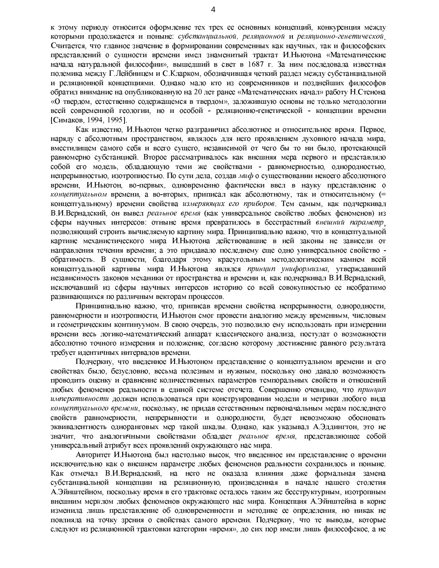к этому периоду относится оформление тех трех ее основных концепций, конкуренция между которыми продолжается и поныне: субстанциальной, реляционной и реляционно-генетической, Считается, что главное значение в формировании современных как научных, так и философских представлений о сущности времени имел знаменитый трактат И. Ньютона «Математические начала натуральной философии», вышедший в свет в 1687 г. За ним последовала известная полемика между Г.Лейбницем и С.Кларком, обозначившая четкий раздел между субстанциальной и реляционной концепциями. Однако мало кто из современников и позднейших философов обратил внимание на опубликованную на 20 лет ранее «Математических начал» работу Н.Стенона «О твердом, естественно содержащемся в твердом», заложившую основы не только методологии всей современной геологии, но и особой - реляционно-генетической - концепции времени ГСимаков. 1994. 19951.

Как известно, И.Ньютон четко разграничил абсолютное и относительное время. Первое, наряду с абсолютным пространством, являлось для него проявлением духовного начала мира, вместилищем самого себя и всего сущего, независимой от чего бы то ни было, протекающей равномерно субстанцией. Второе рассматривалось как внешняя мера первого и представляло собой его модель, обладающую теми же свойствами - равномерностью, однородностью, непрерывностью, изотропностью. По сути дела, создав *миф* о существовании некоего абсолютного времени, И.Ньютон, во-первых, одновременно фактически ввел в науку представление о концептуальном времени, а во-вторых, приписал как абсолютному, так и относительному (= концептуальному) времени свойства измеряющих его приборов. Тем самым, как подчеркивал В.И.Вернадский, он вывел реальное время (как универсальное свойство любых феноменов) из сферы научных интересов: отныне время превратилось в бесстрастный внешний параметр позволяющий строить вычисляемую картину мира. Принципиально важно, что в концептуальной картине механистического мира И.Ньютона действовавшие в ней законы не зависели от направления течения времени; а это придавало последнему еще одно универсальное свойство обратимость. В сущности, благодаря этому краеугольным методологическим камнем всей концептуальной картины мира И.Ньютона являлся *принцип униформизма*, утверждавший независимость законов механики от пространства и времени и, как подчеркивал В.И.Вернадский, исключавший из сферы научных интересов историю со всей совокупностью ее необратимо развивающихся по различным векторам процессов.

Принципиально важно, что, приписав времени свойства непрерывности, однородности, равномерности и изотропности, И.Ньютон смог провести аналогию между временным, числовым и геометрическим континуумом. В свою очередь, это позволило ему использовать при измерении времени весь логико-математический аппарат классического анализа, постулат о возможности абсолютно точного измерения и положение, согласно которому достижение равного результата требует идентичных интервалов времени.

Подчеркну, что введенное И.Ньютоном представление о концептуальном времени и его свойствах было, безусловно, весьма полезным и нужным, поскольку оно давало возможность проводить оценку и сравнение количественных параметров темпоральных свойств и отношений любых феноменов реальности в единой системе отсчета. Совершенно очевидно, что принцип императивности должен использоваться при конструировании модели и метрики любого вида концептуального времени, поскольку, не придав естественным первоначальным мерам последнего свойств равномерности, непрерывности и однородности, будет невозможно обосновать эквивалентность одноранговых мер такой шкалы. Однако, как указывал А.Эддингтон, это не значит, что аналогичными свойствами обладает реальное время, представляющее собой универсальный атрибут всех проявлений окружающего нас мира.

Авторитет И.Ньютона был настолько высок, что введенное им представление о времени исключительно как о внешнем параметре любых феноменов реальности сохранилось и поныне. Как отмечал В.И.Вернадский, на него не оказала влияния даже формальная замена субстанциальной концепции на реляционную, произведенная в начале нашего столетия А.Эйнштейном, поскольку время в его трактовке осталось таким же бесструктурным, изотропным внешним мерилом любых феноменов окружающего нас мира. Концепция А.Эйнштейна в корне изменила лишь представление об одновременности и методике ее определения, но никак не повлияла на точку зрения о свойствах самого времени. Подчеркну, что те выводы, которые следуют из реляционной трактовки категории «время», до сих пор имели лишь философское, а не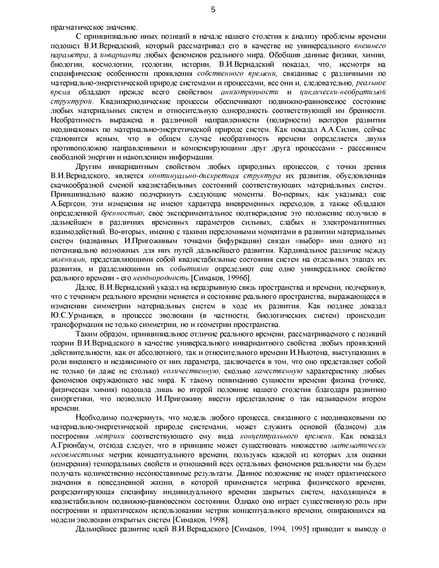прагматическое значение.

С принципиально иных позиций в начале нашего столетия к анализу проблемы времени подошел В.И.Вернадский, который рассматривал его в качестве не универсального внешнего параметра, а инварианта любых феноменов реального мира. Обобщив данные физики, химии, биологии, космологии, геологии, истории, В.И.Вернадский показал, что, несмотря на специфические особенности проявления собственного времени, связанные с различными по материально-энергетической природе системами и процессами, все они и, следовательно, реальное обладают прежде всего свойством анизотропности и циклически-необратимой время структурой. Квазипериодические процессы обеспечивают подвижно-равновесное состояние любых материальных систем и относительную однородность соответствующей им бренности. Необратимость выражена в различной направленности (полярности) векторов развития неодинаковых по материально-энергетической природе систем. Как показал А.А.Силин, сейчас становится ясным, что в общем случае необратимость времени определяется двумя противоположно направленными и компенсирующими друг друга процессами - рассеянием свободной энергии и накоплением информации.

Другим инвариантным свойством любых природных процессов, с точки зрения В.И.Вернадского, является континуально-дискретная структура их развития, обусловленная скачкообразной сменой квазистабильных состояний соответствующих материальных систем. Принципиально важно подчеркнуть следующие моменты. Во-первых, как указывал еще А Бергсон, эти изменения не имеют характера вневременных переходов, а также обладают определенной бренностью; свое экспериментальное подтверждение это положение получило в дальнейшем в различиях временных параметров сильных, слабых и электромагнитных взаимодействий. Во-вторых, именно с такими переломными моментами в развитии материальных систем (названных И.Пригожиным точками бифуркации) связан «выбор» ими одного из потенциально возможных для них путей дальнейшего развития. Кардинальное различие между явлениями, представляющими собой квазистабильные состояния систем на отдельных этапах их развития, и разделяющими их событиями определяют еще одно универсальное свойство реального времени - его неоднородность [Симаков, 1996б].

Далее, В.И.Вернадский указал на неразрывную связь пространства и времени, подчеркнув, что с течением реального времени меняется и состояние реального пространства, выражающееся в изменении симметрии материальных систем в ходе их развития. Как позднее доказал Ю.С.Урманцев, в процессе эволюции (в частности, биологических систем) происходит трансформация не только симметрии, но и геометрии пространства.

Таким образом, принципиальное отличие реального времени, рассматриваемого с позиций теории В.И.Вернадского в качестве универсального инвариантного свойства любых проявлений действительности, как от абсолютного, так и относительного времени И.Ньютона, выступающих в роли внешнего и независимого от них параметра, заключается в том, что оно представляет собой не только (и даже не столько) количественную, сколько качественную характеристику любых феноменов окружающего нас мира. К такому пониманию сущности времени физика (точнее, физическая химия) подошла лишь во второй половине нашего столетия благодаря развитию синэргетики, что позволило И.Пригожину ввести представление о так называемом втором времени.

Необходимо подчеркнуть, что модель любого процесса, связанного с неодинаковыми по материально-энергетической природе системами, может служить основой (базисом) для построения метрики соответствующего ему вида концептуального времени. Как показал А. Грюнбаум, отсюда следует, что в принципе может существовать множество математически несовместимых метрик концептуального времени, пользуясь каждой из которых для оценки (измерения) темпоральных свойств и отношений всех остальных феноменов реальности мы будем получать количественно несопоставимые результаты. Данное положение не имеет практического значения в повседневной жизни, в которой применяется метрика физического времени, репрезентирующая специфику индивидуального времени закрытых систем, находящихся в квазистабильном подвижно-равновесном состоянии. Однако оно играет существенную роль при построении и практическом использовании метрик концептуального времени, опирающихся на модели эволюции открытых систем [Симаков, 1998].

Дальнейшее развитие идей В.И.Вернадского [Симаков, 1994, 1995] приводит к выводу о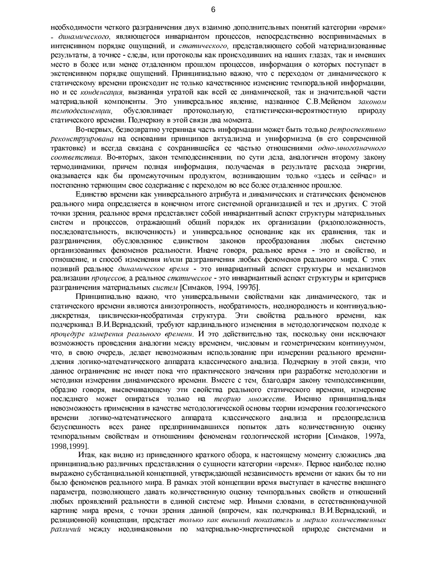необходимости четкого разграничения двух взаимно дополнительных понятий категории «время» - динамического, являющегося инвариантом процессов, непосредственно воспринимаемых в интенсивном порядке ощущений, и *статического*, представляющего собой материализованные результаты, а точнее - следы, или протоколы как происходивших на наших глазах, так и имевших место в более или менее отдаленном прошлом процессов, информация о которых поступает в экстенсивном порядке ощущений. Принципиально важно, что с переходом от динамического к статическому времени происходит не только качественное изменение темпоральной информации, но и ее конденсация, вызванная утратой как всей ее динамической, так и значительной части материальной компоненты. Это универсальное явление, названное С.В. Мейеном законом темподесиненции, обусловливает протокольную, статистически-вероятностную природу статического времени. Подчеркну в этой связи два момента.

Во-первых, безвозвратно утерянная часть информации может быть только ретроспективно реконструирована на основании принципов актуализма и униформизма (в его современной трактовке) и всегда связана с сохранившейся ее частью отношениями одно-многозначного соответствия. Во-вторых, закон темподесиненции, по сути дела, аналогичен второму закону термодинамики, причем полная информация, получаемая в результате расхода энергии, оказывается как бы промежуточным продуктом, возникающим только «здесь и сейчас» и постепенно теряющим свое содержание с переходом во все более отдаленное прошлое.

Единство времени как универсального атрибута и динамических и статических феноменов реального мира определяется в конечном итоге системной организацией и тех и других. С этой точки зрения, реальное время представляет собой инвариантный аспект структуры материальных систем и процессов, отражающий общий порядок их организации (рядоположенность, последовательность, включенность) и универсальное основание как их сравнения, так и обусловленное единством законов преобразования любых разграничения, системно организованных феноменов реальности. Иначе говоря, реальное время - это и свойство, и отношение, и способ изменения и/или разграничения любых феноменов реального мира. С этих позиций реальное динамическое время - это инвариантный аспект структуры и механизмов реализации процессов, а реальное статическое - это инвариантный аспект структуры и критериев разграничения материальных систем [Симаков, 1994, 1997б].

Принципиально важно, что универсальными свойствами как динамического, так и статического времени являются анизотропность, необратимость, неоднородность и континуальнодискретная, циклически-необратимая структура. Эти свойства реального времени, как подчеркивал В.И.Вернадский, требуют кардинального изменения в методологическом подходе к процедуре измерения реального времени. И это действительно так, поскольку они исключают возможность проведения аналогии между временем, числовым и геометрическим континуумом, что, в свою очередь, делает невозможным использование при измерении реального временидления логико-математического аппарата классического анализа. Подчеркну в этой связи, что данное ограничение не имеет пока что практического значения при разработке методологии и методики измерения динамического времени. Вместе с тем, благодаря закону темподесиненции, образно говоря, высвечивающему эти свойства реального статического времени, измерение последнего может опираться только на *теорию множеств*. Именно принципиальная невозможность применения в качестве методологической основы теории измерения геологического времени логико-математического аппарата классического анализа предопределила  $\mathbf{H}$ безуспешность всех ранее предпринимавшихся попыток дать количественную оценку темпоральным свойствам и отношениям феноменам геологической истории [Симаков, 1997а, 1998.19991.

Итак, как видно из приведенного краткого обзора, к настоящему моменту сложились два принципиально различных представления о сущности категории «время». Первое наиболее полно выражено субстанциальной концепцией, утверждающей независимость времени от каких бы то ни было феноменов реального мира. В рамках этой концепции время выступает в качестве внешнего параметра, позволяющего давать количественную оценку темпоральных свойств и отношений любых проявлений реальности в единой системе мер. Иными словами, в естественнонаучной картине мира время, с точки зрения данной (впрочем, как подчеркивал В.И.Вернадский, и реляционной) концепции, предстает только как внешний показатель и мерило количественных различий между неодинаковыми по материально-энергетической природе системами и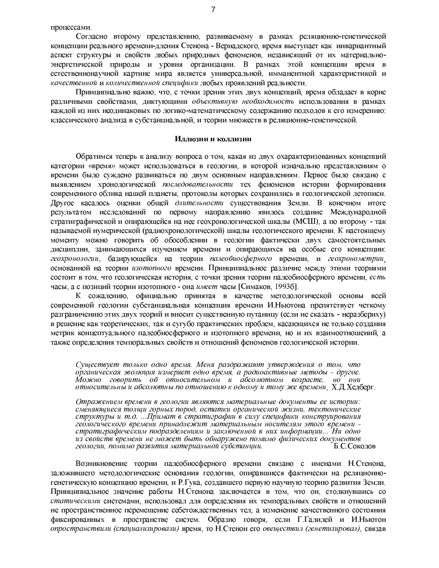процессами.

Согласно второму представлению, развиваемому в рамках реляционно-генетической концепции реального времени-дления Стенона - Вернадского, время выступает как инвариантный аспект структуры и свойств любых природных феноменов, независящий от их материальноэнергетической природы и уровня организации. В рамках этой концепции время в естественнонаучной картине мира является универсальной, имманентной характеристикой и качественной и количественной специфики любых проявлений реальности.

Принципиально важно, что, с точки зрения этих двух концепций, время обладает в корне различными свойствами, диктующими *объективную необходимость* использования в рамках каждой из них неодинаковых по логико-математическому содержанию подходов к его измерению: классического анализа в субстанциальной, и теории множеств в реляционно-генетической.

### Иллюзии и коллизии

Обратимся теперь к анализу вопроса о том, какая из двух охарактеризованных концепций категории «время» может использоваться в геологии, в которой изначально представлениям о времени было суждено развиваться по двум основным направлениям. Первое было связано с выявлением хронологической *последовательности* тех феноменов истории формирования современного облика нашей планеты, протоколы которых сохранились в геологической летописи. Другое касалось оценки общей длительности существования Земли. В конечном итоге результатом исследований по первому направлению явилось создание Международной стратиграфической и опирающейся на нее геохронологической шкалы (МСШ), а по второму - так называемой нумерической (радиохронологической) шкалы геологического времени. К настоящему моменту можно говорить об обособлении в геологии фактически двух самостоятельных дисциплин, занимающихся изучением времени и опирающихся на особые его концепции: геохронологии, базирующейся на теории палеобиосферного времени, и геохронометрии, основанной на теории изотопного времени. Принципиальное различие между этими теориями состоит в том, что геологическая история, с точки зрения теории палеобиосферного времени, есть часы, а с позиций теории изотопного - она *имеет* часы [Симаков, 1993б].

К сожалению, официально принятая в качестве методологической основы всей современной геологии субстанциальная концепция времени И. Ньютона препятствует четкому разграничению этих двух теорий и вносит существенную путаницу (если не сказать - неразбериху) в решение как теоретических, так и сугубо практических проблем, касающихся не только создания метрик концептуального палеобиосферного и изотопного времени, но и их взаимоотношений, а также определения темпоральных свойств и отношений феноменов геологической истории.

Существует только одно время. Меня раздражают утверждения о том, что органическая эволюция измеряет одно время, а радиоактивные методы - другое. Можно говорить об относительном и абсолютном возрасте, но они относительны и абсолютны по отношению к одному и тому же времени Х.Д.Хедберг.

Отражением времени в геологии являются материальные документы ее истории: сменяющиеся толщи горных пород, остатки органической жизни, тектонические структуры и т.д. ... Примат в стратиграфии в силу специфики конструирования геологического времени принадлежит материальным носителям этого времени стратиграфическим подразделениям и заключенной в них информации... Ни одно из свойств времени не может быть обнаружено помимо физических документов геологии, помимо развития материальной субстанции. Б.С. Соколов

Возникновение теории палеобиосферного времени связано с именами Н.Стенона, заложившего методологические основания геологии, опиравшиеся фактически на реляционногенетическую концепцию времени, и Р. Гука, создавшего первую научную теорию развития Земли. Принципиальное значение работы Н.Стенона заключается в том, что он, столкнувшись со статическими системами, использовал для определения их темпоральных свойств и отношений не пространственное перемещение себетождественных тел, а изменение качественного состояния фиксированных в пространстве систем. Образно говоря, если Г.Галилей и И.Ньютон опространствили (спациализировали) время, то Н.Стенон его овеществил (генетизировал), связав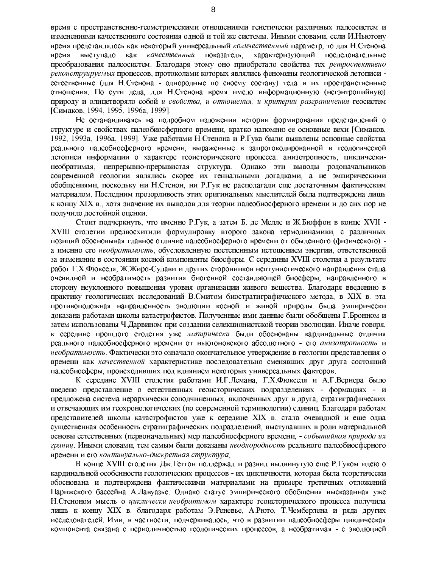время с пространственно-геометрическими отношениями генетически различных палеосистем и изменениями качественного состояния одной и той же системы. Иными словами, если И.Ньютону время представлялось как некоторый универсальный количественный параметр, то для Н. Стенона выступало как качественный показатель, характеризующий последовательные время преобразования палеосистем. Благодаря этому оно приобретало свойства тех ретроспективно реконструируемых процессов, протоколами которых являлись феномены геологической летописи естественные (для Н.Стенона - однородные по своему составу) тела и их пространственные отношения. По сути дела, для Н. Стенона время имело информационную (негэнтропийную) природу и олицетворяло собой и свойства, и отношения, и критерии разграничения геосистем [Симаков, 1994, 1995, 1996а, 1999].

Не останавливаясь на подробном изложении истории формирования представлений о структуре и свойствах палеобиосферного времени, кратко напомню ее основные вехи [Симаков, 1992, 1993а, 1996а, 1999]. Уже работами Н. Стенона и Р. Гука были выявлены основные свойства реального палеобиосферного времени, выраженные в запротоколированной в геологической летописи информации о характере геоисторического процесса: анизотропность, циклическинеобратимая, непрерывно-прерывистая структура. Однако эти выводы родоначальников современной геологии являлись скорее их гениальными догадками, а не эмпирическими обобщениями, поскольку ни Н. Стенон, ни Р. Гук не располагали еще достаточным фактическим материалом. Последним прозорливость этих оригинальных мыслителей была подтверждена лишь к концу XIX в., хотя значение их выводов для теории палеобиосферного времени и до сих пор не получило достойной оценки.

Стоит подчеркнуть, что именно Р.Гук, а затем Б. де Мелле и Ж.Бюффон в конце XVII -XVIII столетии предвосхитили формулировку второго закона термодинамики, с различных позиций обосновывая главное отличие палеобиосферного времени от обыденного (физического) а именно его необратимость, обусловленную постепенным истощением энергии, ответственной за изменение в состоянии косной компоненты биосферы. С середины XVIII столетия а результате работ Г.Х. Фюкселя, Ж. Жиро-Сулави и других сторонников нептунистического направления стала очевидной и необратимость развития биогенной составляющей биосферы, направленного в сторону неуклонного повышения уровня организации живого вещества. Благодаря введению в практику геологических исследований В.Смитом биостратиграфического метода, в XIX в. эта противоположная направленность эволюции косной и живой природы была эмпирически доказана работами школы катастрофистов. Полученные ими данные были обобщены Г.Бронном и затем использованы Ч. Дарвином при создании селекционистской теории эволюции. Иначе говоря, к середине прошлого столетия уже эмпирически были обоснованы кардинальные отличия реального палеобиосферного времени от ньютоновского абсолютного - его анизотропность и необратимость. Фактически это означало окончательное утверждение в геологии представления о времени как качественной характеристике последовательно сменявших друг друга состояний палеобиосферы, происходивших под влиянием некоторых универсальных факторов.

К середине XVIII столетия работами И.Г.Лемана, Г.Х.Фюкселя и А.Г.Вернера было введено представление о естественных геоисторических подразделениях - формациях - и предложена система иерархически соподчиненных, включенных друг в друга, стратиграфических и отвечающих им геохронологических (по современной терминологии) единиц. Благодаря работам представителей школы катастрофистов уже к середине XIX в стала очевидной и еще одна существенная особенность стратиграфических подразделений, выступавших в роли материальной основы естественных (первоначальных) мер палеобиосферного времени, - событийная природа их границ. Иными словами, тем самым были доказаны неоднородность реального палеобиосферного времени и его континуально-дискретная структура

В конце XVIII столетия Дж. Геттон поддержал и развил выдвинутую еще Р. Гуком идею о кардинальной особенности геологических процессов - их цикличности, которая была теоретически обоснована и подтверждена фактическими материалами на примере третичных отложений Парижского бассейна А.Лавуазье. Однако статус эмпирического обобщения высказанная уже Н. Стеноном мысль о циклически-необратимом характере геоисторического процесса получила лишь к концу XIX в. благодаря работам Э. Реневье, А. Рюто, Т. Чемберлена и ряда других исследователей. Ими, в частности, подчеркивалось, что в развитии палеобиосферы циклическая компонента связана с периодичностью геологических процессов, а необратимая - с эволюцией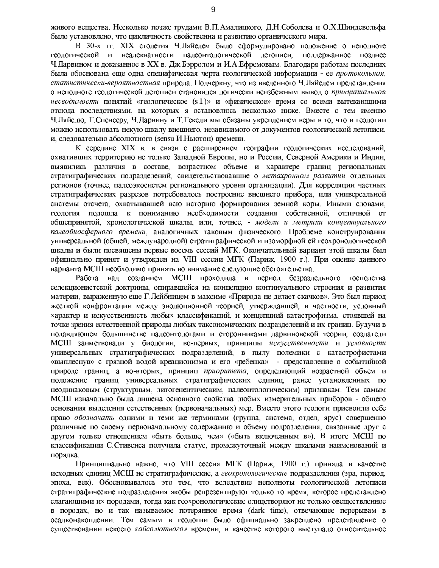живого вещества. Несколько позже трудами В.П.Амалицкого, Д.Н.Соболева и О.Х.Шиндевольфа было установлено, что цикличность свойственна и развитию органического мира.

В 30-х гг. XIX столетия Ч.Ляйелем было сформулировано положение о неполноте геологической и неадекватности палеонтологической летописи, поддержанное позднее Ч. Дарвином и доказанное в XX в. Дж. Бэрролом и И.А. Ефремовым. Благодаря работам последних была обоснована еще одна специфическая черта геологической информации - ее протокольная. статистически-вероятностная природа. Подчеркну, что из введенного Ч. Ляйелем представления о неполноте геологической летописи становился логически неизбежным вывод о принципиальной несводимости понятий «геологическое (s.l.)» и «физическое» время со всеми вытекающими отсюда последствиями, на которых я остановлюсь несколько ниже. Вместе с тем именно Ч. Ляйелю, Г. Спенсеру, Ч. Дарвину и Т. Гексли мы обязаны укреплением веры в то, что в геологии можно использовать некую шкалу внешнего, независимого от документов геологической летописи, и, следовательно абсолютного (sensu И. Ньютон) времени.

К середине XIX в в связи с расширением географии геологических исследований. охвативших территорию не только Западной Европы, но и России, Северной Америки и Индии, выявились различия в составе, возрастном объеме и характере границ региональных стратиграфических подразделений, свидетельствовавшие о метахронном развитии отдельных регионов (точнее, палеоэкосистем регионального уровня организации). Для корреляции частных стратиграфических разрезов потребовалось построение внешнего прибора, или универсальной системы отсчета, охватывавшей всю историю формирования земной коры. Иными словами, геология подошла к пониманию необходимости создания собственной, отличной от общепринятой, хронологической шкалы, или, точнее, - модели и метрики концептуального палеобиосферного времени, аналогичных таковым физического. Проблеме конструирования универсальной (общей, международной) стратиграфической и изоморфной ей геохронологической шкалы и были посвящены первые восемь сессий МГК. Окончательный вариант этой шкалы был официально принят и утвержден на VIII сессии МГК (Париж, 1900 г.). При оценке данного варианта МСШ необходимо принять во внимание следующие обстоятельства.

Работа над созданием МСШ проходила в период безраздельного господства селекционистской доктрины, опиравшейся на концепцию континуального строения и развития материи, выраженную еще Г.Лейбницем в максиме «Природа не делает скачков». Это был период жесткой конфронтации между эволюционной теорией, утверждавшей, в частности, условный характер и искусственность любых классификаций, и концепцией катастрофизма, стоявшей на точке зрения естественной природы любых таксономических подразделений и их границ. Будучи в подавляющем большинстве палеонтологами и сторонниками дарвиновской теории, создатели МСШ заимствовали у биологии, во-первых, принципы искусственности и условности универсальных стратиграфических подразделений, в пылу полемики с катастрофистами «выплеснув» с грязной водой креационизма и его «ребенка» - представление о событийной природе границ, а во-вторых, принцип приоритета, определяющий возрастной объем и положение границ универсальных стратиграфических единиц, ранее установленных по неодинаковым (структурным, литогенентическим, палеонтологическим) признакам. Тем самым МСШ изначально была лишена основного свойства любых измерительных приборов - общего основания выделения естественных (первоначальных) мер. Вместо этого геологи присвоили себе право обозначать одними и теми же терминами (группа, система, отдел, ярус) совершенно различные по своему первоначальному содержанию и объему подразделения, связанные друг с другом только отношением «быть больше, чем» («быть включенным в»). В итоге МСШ по классификации С. Стивенса получила статус, промежуточный между шкалами наименований и порядка.

Принципиально важно, что VIII сессия МГК (Париж, 1900 г.) приняла в качестве исходных единиц MCIII не стратиграфические, а *геохронологические* подразделения (эра, период, эпоха, век). Обосновывалось это тем, что вследствие неполноты геологической летописи стратиграфические подразделения якобы репрезентируют только то время, которое представлено слагающими их породами, тогда как геохронологические олицетворяют не только овеществленное в породах, но и так называемое потерянное время (dark time), отвечающее перерывам в осадконакоплении. Тем самым в геологии было официально закреплено представление о существовании некоего «абсолютного» времени, в качестве которого выступало относительное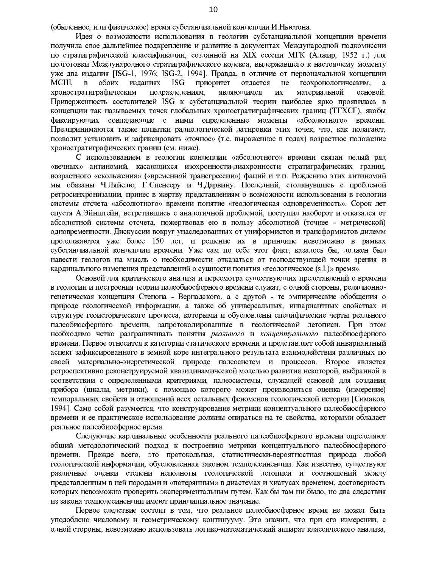(обыденное, или физическое) время субстанциальной концепции И. Ньютона.

Идея о возможности использования в геологии субстанциальной концепции времени получила свое дальнейшее подкрепление и развитие в документах Международной подкомиссии по стратиграфической классификации, созданной на XIX сессии МГК (Алжир, 1952 г.) для подготовки Международного стратиграфического кодекса, выдержавшего к настоящему моменту уже два издания [ISG-1, 1976; ISG-2, 1994]. Правда, в отличие от первоначальной концепции  $MCHI$ .  $\mathbf{B}$ обоих изданиях ISG приоритет отдается  $He$ геохронологическим, хроностратиграфическим подразделениям, являющимся их материальной основой. Приверженность составителей ISG к субстанциальной теории наиболее ярко проявилась в концепции так называемых точек глобальных хроностратиграфических границ (ТГХСГ), якобы фиксирующих совпадающие с ними определенные моменты «абсолютного» времени. Предпринимаются также попытки радиологической датировки этих точек, что, как полагают, позволит установить и зафиксировать «точное» (т.е. выраженное в годах) возрастное положение хроностратиграфических границ (см. ниже).

С использованием в геологии концепции «абсолютного» времени связан целый ряд «вечных» антиномий, касающихся изохронности-диахронности стратиграфических границ, возрастного «скольжения» («временной трансгрессии») фаций и т.п. Рождению этих антиномий мы обязаны Ч.Ляйелю, Г.Спенсеру и Ч.Дарвину. Последний, столкнувшись с проблемой ретросинхронизации, принес в жертву представлениям о возможности использования в геологии системы отсчета «абсолютного» времени понятие «геологическая одновременность». Сорок лет спустя А.Эйнштейн, встретившись с аналогичной проблемой, поступил наоборот и отказался от абсолютной системы отсчета, пожертвовав ею в пользу абсолютной (точнее - метрической) одновременности. Дискуссии вокруг унаследованных от униформистов и трансформистов дилемм продолжаются уже более 150 лет, и решение их в принципе невозможно в рамках субстанциальной концепции времени. Уже сам по себе этот факт, казалось бы, должен был навести геологов на мысль о необходимости отказаться от господствующей точки зрения и кардинального изменения представлений о сущности понятия «геологическое (s.l.)» время».

Основой для критического анализа и пересмотра существующих представлений о времени в геологии и построения теории палеобиосферного времени служат, с одной стороны, реляционногенетическая концепция Стенона - Вернадского, а с другой - те эмпирические обобщения о природе геологической информации, а также об универсальных, инвариантных свойствах и структуре геоисторического процесса, которыми и обусловлены специфические черты реального палеобиосферного времени, запротоколированные в геологической летописи. При этом необходимо четко разграничивать понятия *реального* и концептуального палеобиосферного времени. Первое относится к категории статического времени и представляет собой инвариантный аспект зафиксированного в земной коре интегрального результата взаимодействия различных по своей материально-энергетической природе палеосистем и процессов. Второе является ретроспективно реконструируемой квазидинамической моделью развития некоторой, выбранной в соответствии с определенными критериями, палеосистемы, служащей основой для создания прибора (шкалы, метрики), с помощью которого может производиться оценка (измерение) темпоральных свойств и отношений всех остальных феноменов геологической истории [Симаков, 1994]. Само собой разумеется, что конструирование метрики концептуального палеобиосферного времени и ее практическое использование должны опираться на те свойства, которыми обладает реальное палеобиосферное время.

Следующие кардинальные особенности реального палеобиосферного времени определяют общий методологический подход к построению метрики концептуального палеобиосферного времени. Прежде всего, это протокольная, статистически-вероятностная природа любой геологической информации, обусловленная законом темподесиненции. Как известно, существуют различные оценки степени неполноты геологической летописи и соотношений между представленным в ней породами и «потерянным» в диастемах и хиатусах временем, достоверность которых невозможно проверить экспериментальным путем. Как бы там ни было, но два следствия из закона темподесиненции имеют принципиальное значение.

Первое следствие состоит в том, что реальное палеобиосферное время не может быть уподоблено числовому и геометрическому континууму. Это значит, что при его измерении, с одной стороны, невозможно использовать логико-математический аппарат классического анализа,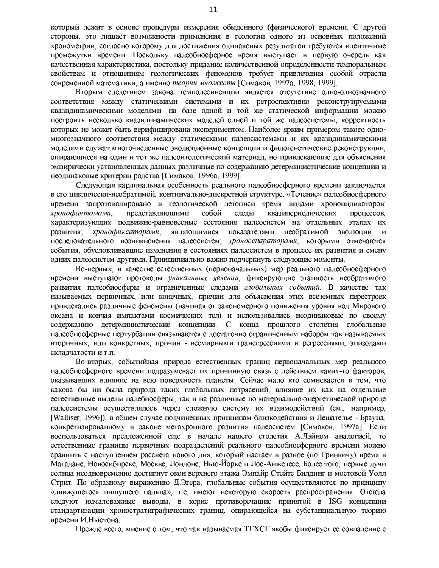который лежит в основе процедуры измерения обыденного (физического) времени. С другой стороны, это лишает возможности применения в геологии одного из основных положений хронометрии, согласно которому для достижения одинаковых результатов требуются идентичные промежутки времени. Поскольку палеобиосферное время выступает в первую очередь как качественная характеристика, постольку придание количественной определенности темпоральным свойствам и отношениям геологических феноменов требует привлечения особой отрасли современной математики, а именно теории множеств [Симаков, 1997а, 1998, 1999].

Вторым следствием закона темподесиненции является отсутствие одно-однозначного соответствия между статическими системами и их ретроспективно реконструируемыми квазидинамическими моделями: на базе одной и той же статической информации можно построить несколько квазидинамических моделей одной и той же палеосистемы, корректность которых не может быть верифицирована экспериментом. Наиболее ярким примером такого одномногозначного соответствия между статическими палеосистемами и их квазидинамическими моделями служат многочисленные эволюционные концепции и филогенетические реконструкции. опирающиеся на один и тот же палеонтологический материал, но привлекающие для объяснения эмпирически установленных данных различные по содержанию детерминистические концепции и неодинаковые критерии родства [Симаков, 1996а, 1999].

Следующая кардинальная особенность реального палеобиосферного времени заключается в его циклически-необратимой, континуально-дискретной структуре. «Течение» палеобиосферного времени запротоколировано в геологической летописи тремя видами хроноиндикаторов: хронофантомами, представляющими собой квазипериодических следы процессов. характеризующих подвижно-равновесные состояния палеосистем на отдельных этапах их развития; хронофиксаторами, являющимися показателями необратимой эволюции и последовательного возникновения палеосистем; хроносепараторами, которыми отмечаются события, обусловливавшие изменения в состояниях палеосистем в процессе их развития и смену одних палеосистем другими. Принципиально важно подчеркнуть следующие моменты.

Во-первых, в качестве естественных (первоначальных) мер реального палеобиосферного времени выступают протоколы уникальных явлений, фиксирующие этапность необратимого развития палеобиосферы и ограниченные следами глобальных событий. В качестве так называемых первичных, или конечных, причин для объяснения этих всеземных перестроек привлекались различные феномены (начиная от закономерного понижения уровня вод Мирового океана и кончая импактами космических тел) и использовались неодинаковые по своему содержанию детерминистические концепции. С конца прошлого столетия глобальные палеобиосферные пертурбации связываются с достаточно ограниченным набором так называемых вторичных, или конкретных, причин - всемирными трансгрессиями и регрессиями, эпизодами складчатости и т.п.

Во-вторых, событийная природа естественных границ первоначальных мер реального палеобиосферного времени подразумевает их причинную связь с действием каких-то факторов, оказывавших влияние на всю поверхность планеты. Сейчас мало кто сомневается в том, что какова бы ни была природа таких глобальных потрясений, влияние их как на отдельные естественные выделы палебиосферы, так и на различные по материально-энергетической природе палеосистемы осуществлялось через сложную систему их взаимодействий (см., например, [Walliser, 1996]), в общем случае подчиненных принципам близкодействия и Лешателье - Брауна, конкретизированному в законе метахронного развития палеосистем [Симаков, 1997а]. Если воспользоваться предложенной еще в начале нашего столетия А.Лэйном аналогией, то естественные границы первичных подразделений реального палеобиосферного времени можно сравнить с наступлением рассвета нового дня, который настает в разное (по Гринвичу) время в Магадане, Новосибирске, Москве, Лондоне, Нью-Йорке и Лос-Анжелесе. Более того, первые лучи солнца неодновременно достигнут окон верхнего этажа Эмпайр Стейтс Билдинг и мостовой Уолл Стрит. По образному выражению Д.Эгера, глобальные события осуществляются по принципу «движущегося пишущего пальца», т.е. имеют некоторую скорость распространения. Отсюда следуют немаловажные выводы, в корне противоречащие принятой в ISG концепции стандартизации хроностратиграфических границ, опирающейся на субстанциальную теорию времени И.Ньютона.

Прежде всего, мнение о том, что так называемая ТГХСГ якобы фиксирует ее совпадение с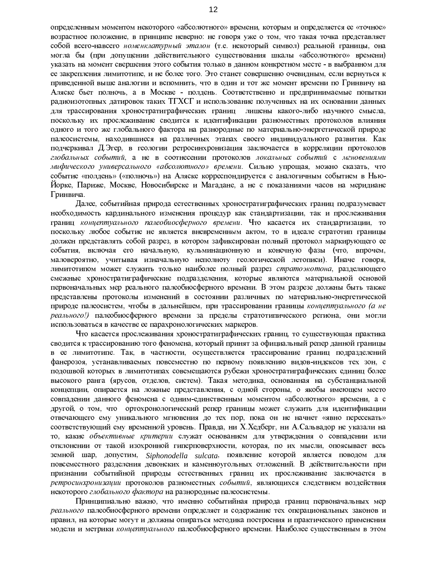определенным моментом некоторого «абсолютного» времени, которым и определяется ее «точное» возрастное положение, в принципе неверно: не говоря уже о том, что такая точка представляет собой всего-навсего номенклатурный эталон (т.е. некоторый символ) реальной границы, она могла бы (при допущении действительного существования шкалы «абсолютного» времени) указать на момент свершения этого события только в данном конкретном месте - в выбранном для ее закрепления лимитотипе, и не более того. Это станет совершенно очевидным, если вернуться к приведенной выше аналогии и вспомнить, что в один и тот же момент времени по Гринвичу на Аляске бьет полночь, а в Москве - полдень. Соответственно и предпринимаемые попытки радиоизотопных датировок таких ТГХСГ и использование полученных на их основании данных для трассирования хроностратиграфических границ лишены какого-либо научного смысла, поскольку их прослеживание сводится к идентификации разноместных протоколов влияния одного и того же глобального фактора на разнородные по материально-энергетической природе палеосистемы, находившиеся на различных этапах своего индивидуального развития. Как подчеркивал Д.Эгер, в геологии ретросинхронизация заключается в корреляции протоколов глобальных событий, а не в соотнесении протоколов локальных событий с мгновениями мифического универсального «абсолютного» времени. Сильно упрощая, можно сказать, что событие «полдень» («полночь») на Аляске корреспондируется с аналогичным событием в Нью-Йорке, Париже, Москве, Новосибирске и Магадане, а не с показаниями часов на меридиане Гринвича

Далее, событийная природа естественных хроностратиграфических границ подразумевает необходимость кардинального изменения процедур как стандартизации, так и прослеживания границ концептуального палеобиосферного времени. Что касается их стандартизации, то поскольку любое событие не является вневременным актом, то в идеале стратотип границы должен представлять собой разрез, в котором зафиксирован полный протокол маркирующего ее события, включая его начальную, кульминационную и конечную фазы (что, впрочем, маловероятно, учитывая изначальную неполноту геологической летописи). Иначе говоря, лимитотипом может служить только наиболее полный разрез стратоэкотона, разделяющего смежные хроностратиграфические подразделения, которые являются материальной основой первоначальных мер реального палеобиосферного времени. В этом разрезе должны быть также представлены протоколы изменений в состоянии различных по материально-энергетической природе палеосистем, чтобы в дальнейшем, при трассировании границы концептуального (а не реального!) палеобиосферного времени за пределы стратотипического региона, они могли использоваться в качестве ее парахронологических маркеров.

Что касается прослеживания хроностратиграфических границ, то существующая практика сводится к трассированию того феномена, который принят за официальный репер данной границы в ее лимитотипе. Так, в частности, осуществляется трассирование границ подразделений фанерозоя, устанавливаемых повсеместно по первому появлению видов-индексов тех зон, с подошвой которых в лимитотипах совемещаются рубежи хроностратиграфических единиц более высокого ранга (ярусов, отделов, систем). Такая методика, основанная на субстанциальной концепции, опирается на ложные представления, с одной стороны, о якобы имеющем место совпадении данного феномена с одним-единственным моментом «абсолютного» времени, а с другой, о том, что сортохронологический репер границы может служить для идентификации отвечающего ему уникального мгновения до тех пор, пока он не начнет «явно пересекать» соответствующий ему временной уровень. Правда, ни Х.Хедберг, ни А.Сальвадор не указали на то, какие объективные критерии служат основанием для утверждения о совпадении или отклонении от такой изохронной гиперповерхности, которая, по их мысли, опоясывает весь земной шар, допустим, Siphonodella sulcata, появление которой является поводом для повсеместного разделения девонских и каменноугольных отложений. В действительности при признании событийной природы естественных границ их прослеживание заключается в ретросинхронизации протоколов разноместных событий, являющихся следствием воздействия некоторого глобального фактора на разнородные палеосистемы.

Принципиально важно, что именно событийная природа границ первоначальных мер реального палеобиосферного времени определяет и содержание тех операциональных законов и правил, на которые могут и должны опираться методика построения и практического применения модели и метрики концептуального палеобиосферного времени. Наиболее существенным в этом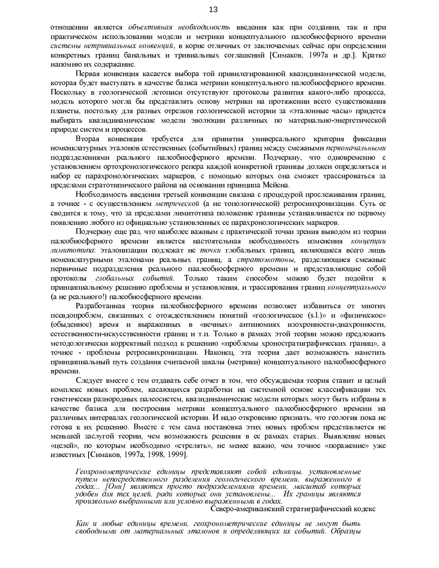отношении является объективная необходимость введения как при создании, так и при практическом использовании модели и метрики концептуального палеобиосферного времени системы нетривиальных конвенций, в корне отличных от заключаемых сейчас при определении конкретных границ банальных и тривиальных соглашений [Симаков, 1997а и др.]. Кратко напомню их содержание.

Первая конвенция касается выбора той привилегированной квазидинамической модели, которая будет выступать в качестве базиса метрики концептуального палеобиосферного времени. Поскольку в геологической летописи отсутствуют протоколы развития какого-либо процесса, модель которого могла бы представлять основу метрики на протяжении всего существования планеты, постольку для разных отрезков геологической истории за «эталонные часы» придется выбирать квазидинамические модели эволюции различных по материально-энергетической природе систем и процессов.

Вторая конвенция требуется для принятия универсального критерия фиксации номенклатурных эталонов естественных (событийных) границ между смежными первоначальными подразделениями реального палеобиосферного времени. Подчеркну, что одновременно с установлением ортохронологического репера каждой конкретной границы должен определяться и набор ее парахронологических маркеров, с помощью которых она сможет трассироваться за пределами стратотипического района на основании принципа Мейена.

Необходимость введения третьей конвенции связана с процедурой прослеживания границ, а точнее - с осуществлением метрической (а не топологической) ретросинхронизации. Суть ее сводится к тому, что за пределами лимитотипа положение границы устанавливается по первому появлению любого из официально установленных ее парахронологических маркеров.

Подчеркну еще раз, что наиболее важным с практической точки зрения выводом из теории палеобиосферного времени является настоятельная необходимость изменения концепции лимитотипа: эталонизации подлежат не точки глобальных границ, являющиеся всего лишь номенклатурными эталонами реальных границ, а стратоэкотоны, разделяющиея смежные первичные подразделения реального паалеобиосферного времени и представляющие собой протоколы глобальных событий. Только таким способом можно будет подойти к принципиальному решению проблемы и установления, и трассирования границ концептуального (а не реального!) палеобиосферного времени.

Разработанная теория палеобиосферного времени позволяет избавиться от многих псевдопроблем, связанных с отождествлением понятий «геологическое (s.l.)» и «физическое» (обыденное) время и выраженных в «вечных» антиномиях изохронности-диахронности, естественности-искусственности границ и т.п. Только в рамках этой теории можно предложить методологически корректный подход к решению «проблемы хроностратиграфических границ», а точнее - проблемы ретросинхронизации. Наконец, эта теория дает возможность наметить принципиальный путь создания считаемой шкалы (метрики) концептуального палеобиосферного времени.

Следует вместе с тем отдавать себе отчет в том, что обсуждаемая теория ставит и целый комплекс новых проблем, касающихся разработки на системной основе классификации тех генетически разнородных палеосистем, квазидинамические модели которых могут быть избраны в качестве базиса для построения метрики концептуального палеобиосферного времени на различных интервалах геологической истории. И надо откровенно признать, что геология пока не готова к их решению. Вместе с тем сама постановка этих новых проблем представляется не меньшей заслугой теории, чем возможность решения в ее рамках старых. Выявление новых «целей», по которым необходимо «стрелять», не менее важно, чем точное «поражение» уже известных [Симаков, 1997а, 1998, 1999].

Геохронометрические единицы представляют собой единицы, установленные путем непосредственного разделения геологического времени, выраженного в годах... [Они] являются просто подразделениями времени, масштаб которых удобен для тех целей, ради которых они установлены... Их границы являются произвольно выбранными или условно выраженными в годах.

Северо-американский стратиграфический кодекс

Как и любые единицы времени, геохронометрические единицы не могут быть свободными от материальных эталонов и определяющих их событий. Образцы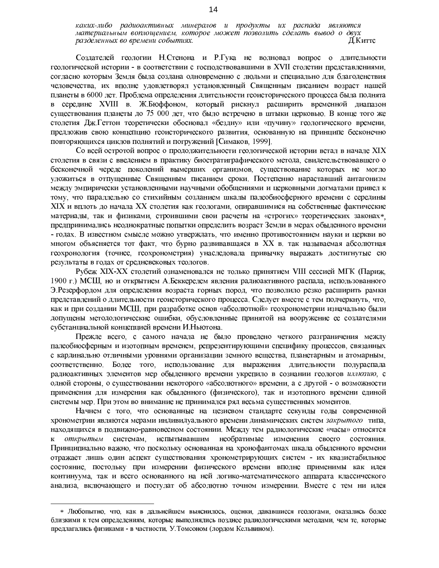Создателей геологии Н.Стенона и Р.Гука не волновал вопрос о длительности геологической истории - в соответствии с господствовавшими в XVII столетии представлениями, согласно которым Земля была создана одновременно с людьми и специально для благоденствия человечества, их вполне удовлетворял установленный Священным писанием возраст нашей планеты в 6000 лет. Проблема определения длительности геоисторического процесса была поднята в середине XVIII в. Ж.Бюффоном, который рискнул расширить временной диапазон существования планеты до 75 000 лет, что было встречено в штыки церковью. В конце того же столетия Дж. Геттон теоретически обосновал «бездну» или «пучину» геологического времени, предложив свою концепцию геоисторического развития, основанную на принципе бесконечно повторяющихся циклов поднятий и погружений [Симаков, 1999].

Со всей остротой вопрос о продолжительности геологической истории встал в начале XIX столетия в связи с введением в практику биостратиграфического метода, свидетельствовавшего о бесконечной череде поколений вымерших организмов, существование которых не могло уложиться в отпущенные Священным писанием сроки. Постепенно нараставший антагонизм между эмпирически установленными научными обобщениями и церковными догматами привел к тому, что параллельно со стихийным созданием шкалы палеобиосферного времени с середины XIX и вплоть до начала XX столетия как геологами, опиравшимися на собственные фактические материалы, так и физиками, строившими свои расчеты на «строгих» теоретических законах\* предпринимались неоднократные попытки определить возраст Земли в мерах обыденного времени - годах. В известном смысле можно утверждать, что именно противостоянием науки и церкви во многом объясняется тот факт, что бурно развивавшаяся в XX в. так называемая абсолютная геохронология (точнее, геохронометрия) унаследовала привычку выражать достигнутые ею результаты в годах от средневековых теологов.

Рубеж XIX-XX столетий ознаменовался не только принятием VIII сессией МГК (Париж, 1900 г.) МСШ, но и открытием А.Беккерелем явления радиоактивного распада, использованного Э. Резерфордом для определения возраста горных пород, что позволило резко расширить рамки представлений о длительности геоисторического процесса. Следует вместе с тем подчеркнуть, что, как и при создании МСШ, при разработке основ «абсолютной» геохронометрии изначально были допущены методологические ошибки, обусловленные принятой на вооружение ее создателями субстанциальной концепцией времени И.Ньютона.

Прежде всего, с самого начала не было проведено четкого разграничения между палеобиосферным и изотопным временем, репрезентирующими специфику процессов, связанных с кардинально отличными уровнями организации земного вещества, планетарным и атомарным, соответственно. Более того, использование для выражения длительности полураспада радиоактивных элементов мер обыденного времени укрепило в сознании геологов иллюзию, с одной стороны, о существовании некоторого «абсолютного» времени, а с другой - о возможности применения для измерения как обыденного (физического), так и изотопного времени единой системы мер. При этом во внимание не принимался ряд весьма существенных моментов.

Начнем с того, что основанные на цезиевом стандарте секунды годы современной хронометрии являются мерами индивидуального времени динамических систем закрытого типа, находящихся в подвижно-равновесном состоянии. Между тем радиологические «часы» относятся испытывавшим необратимые изменения открытым системам.  $\mathbf{K}$ своего состояния. Принципиально важно, что поскольку основанная на хронофантомах шкала обыденного времени отражает лишь один аспект существования хронометрирующих систем - их квазистабильное состояние, постольку при измерении физического времени вполне применимы как идея континуума, так и всего основанного на ней логико-математического аппарата классического анализа, включающего и постулат об абсолютно точном измерении. Вместе с тем ни идея

<sup>\*</sup> Любопытно, что, как в дальнейшем выяснилось, оценки, дававшиеся геологами, оказались более близкими к тем определениям, которые выполнялись позднее радиологическими методами, чем те, которые предлагались физиками - в частности, У Томсоном (лордом Кельвином).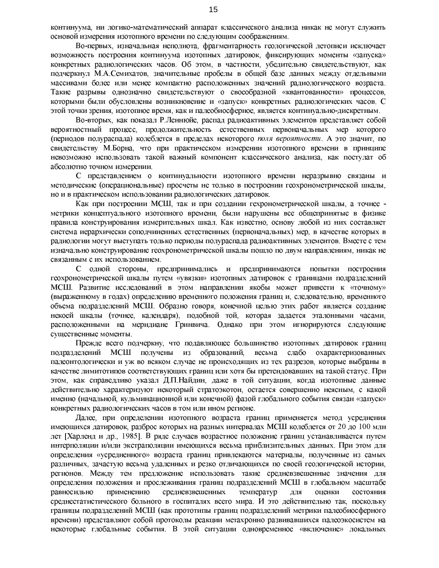континуума, ни логико-математический аппарат классического анализа никак не могут служить основой измерения изотопного времени по следующим соображениям.

Во-первых, изначальная неполнота, фрагментарность геологической летописи исключает возможность построения континуума изотопных датировок, фиксирующих моменты «запуска» конкретных радиологических часов. Об этом, в частности, убедительно свидетельствуют, как подчеркнул М.А.Семихатов, значительные пробелы в общей базе данных между отдельными массивами более или менее компактно расположенных значений радиологического возраста. Такие разрывы однозначно свидетельствуют о своеобразной «квантованности» процессов, которыми были обусловлены возникновение и «запуск» конкретных радиологических часов. С этой точки зрения, изотопное время, как и палеобиосферное, является континуально-дискретным.

Во-вторых, как показал Р.Леннюйе, распад радиоактивных элементов представляет собой вероятностный процесс, продолжительность естественных первоначальных мер которого (периодов полураспада) колеблется в пределах некоторого поля вероятности. А это значит, по свидетельству М.Борна, что при практическом измерении изотопного времени в принципе невозможно использовать такой важный компонент классического анализа, как постулат об абсолютно точном измерении.

С представлением о континуальности изотопного времени неразрывно связаны и методические (операциональные) просчеты не только в построении геохронометрической шкалы, но и в практическом использовании радиологических датировок.

Как при построении МСШ, так и при создании гехронометрической шкалы, а точнее метрики концептуального изотопного времени, были нарушены все общепринятые в физике правила конструирования измерительных шкал. Как известно, основу любой из них составляет система иерархически соподчиненных естественных (первоначальных) мер, в качестве которых в радиологии могут выступать только периоды полураспада радиоактивных элементов. Вместе с тем изначально конструирование геохронометрической шкалы пошло по двум направлениям, никак не связанным с их использованием.

С одной стороны, предпринимались и предпринимаются попытки построения геохронометрической шкалы путем «увязки» изотопных датировок с границами подразделений МСШ. Развитие исследований в этом направлении якобы может привести к «точному» (выраженному в годах) определению временного положения границ и, следовательно, временного объема подразделений МСШ. Образно говоря, конечной целью этих работ является создание некоей шкалы (точнее, календаря), подобной той, которая задается эталонными часами, расположенными на меридиане Гринвича. Однако при этом игнорируются следующие существенные моменты.

Прежде всего подчеркну, что подавляющее большинство изотопных датировок границ МСШ получены из образований, весьма слабо полразделений охарактеризованных палеонтологически и уж во всяком случае не происходящих из тех разрезов, которые выбраны в качестве лимитотипов соответствующих границ или хотя бы претендовавших на такой статус. При этом, как справедливо указал Д.П.Найдин, даже в той ситуации, когда изотопные данные действительно характеризуют некоторый стратоэкотон, остается совершенно неясным, с какой именно (начальной, кульминационной или конечной) фазой глобального события связан «запуск» конкретных радиологических часов в том или ином регионе.

Далее, при определении изотопного возраста границ применяется метод усреднения имеющихся датировок, разброс которых на разных интервалах МСШ колеблется от 20 до 100 млн лет [Харленд и др., 1985]. В ряде случаев возрастное положение границ устанавливается путем интерполяции и/или экстраполяции имеющихся весьма приблизительных данных. При этом для определения «усредненного» возраста границ привлекаются материалы, полученные из самых различных, зачастую весьма удаленных и резко отличающихся по своей геологической истории. регионов. Между тем предложение использовать такие средневзвешенные значения для определения положения и прослеживания границ подразделений МСШ в глобальном масштабе равносильно применению средневзвешенных температур для оценки состояния среднестатистического больного в госпиталях всего мира. И это действительно так, поскольку границы подразделений МСШ (как прототипы границ подразделений метрики палеобиосферного времени) представляют собой протоколы реакции метахронно развивавшихся палеоэкосистем на некоторые глобальные события. В этой ситуации одновременное «включение» локальных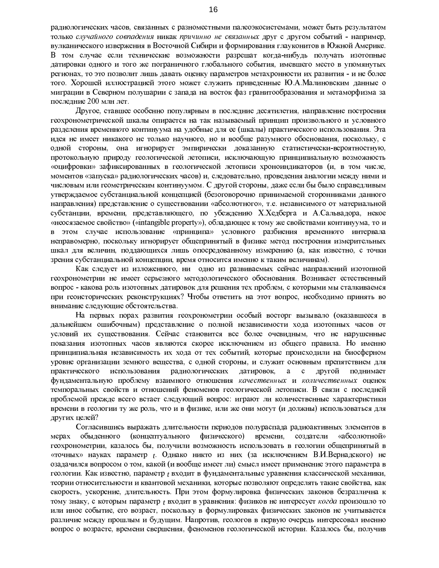радиологических часов, связанных с разноместными палеоэкосистемами, может быть результатом только случайного совпадения никак причинно не связанных друг с другом событий - например, вулканического извержения в Восточной Сибири и формирования глауконитов в Южной Америке. В том случае если технические возможности разрешат когда-нибудь получать изотопные датировки одного и того же пограничного глобального события, имевшего место в упомянутых регионах, то это позволит лишь давать оценку параметров метахронности их развития - и не более того. Хорошей иллюстрацией этого может служить приведенные Ю.А.Малиновским данные о миграции в Северном полушарии с запада на восток фаз гранитообразования и метаморфизма за последние 200 млн лет.

Другое, ставшее особенно популярным в последние десятилетия, направление построения геохронометрической шкалы опирается на так называемый принцип произвольного и условного разделения временного континуума на удобные для ее (шкалы) практического использования. Эта идея не имеет никакого не только научного, но и вообще разумного обоснования, поскольку, с одной стороны, она игнорирует эмпирически доказанную статистически-вероятностную, протокольную природу геологической летописи, исключающую принципиальную возможность «оцифровки» зафиксированных в геологической летописи хроноиндикаторов (и, в том числе, моментов «запуска» радиологических часов) и, следовательно, проведения аналогии между ними и числовым или геометрическим континуумом. С другой стороны, даже если бы было справедливым утверждаемое субстанциальной концепцией (безоговорочно принимаемой сторонниками данного направления) представление о существовании «абсолютного», т.е. независимого от материальной субстанции, времени, представляющего, по убеждению Х.Хедберга и А.Сальвадора, некое «неосязаемое свойство» («intangible property»), обладающее к тому же свойствами континуума, то и в этом случае использование «принципа» условного разбиения временного интервала неправомерно, поскольку игнорирует общепринятый в физике метод построения измерительных шкал для величин, поддающихся лишь опосредованному измерению (а, как известно, с точки зрения субстанциальной концепции, время относится именно к таким величинам).

Как следует из изложенного, ни одно из развиваемых сейчас направлений изотопной геохронометрии не имеет серьезного методологического обоснования. Возникает естественный вопрос - какова роль изотопных датировок для решения тех проблем, с которыми мы сталкиваемся при геоисторических реконструкциях? Чтобы ответить на этот вопрос, необходимо принять во внимание следующие обстоятельства.

На первых порах развития геохронометрии особый восторг вызывало (оказавшееся в дальнейшем ошибочным) представление о полной независимости хода изотопных часов от условий их существования. Сейчас становится все более очевидным, что не нарушенные показания изотопных часов являются скорее исключением из общего правила. Но именно принципиальная независимость их хода от тех событий, которые происходили на биосферном уровне организации земного вещества, с одной стороны, и служит основным препятствием для практического использования радиологических датировок, другой a  $\mathbf{c}$ поднимает фундаментальную проблему взаимного отношения качественных и количественных оценок темпоральных свойств и отношений феноменов геологической летописи. В связи с последней проблемой прежде всего встает следующий вопрос: играют ли количественные характеристики времени в геологии ту же роль, что и в физике, или же они могут (и должны) использоваться для других целей?

Согласившись выражать длительности периодов полураспада радиоактивных элементов в (концептуального физического) времени, создатели мерах обыденного «абсолютной» геохронометрии, казалось бы, получили возможность использовать в геологии общепринятый в «точных» науках параметр  $t$ . Однако никто из них (за исключением В.И.Вернадского) не озадачился вопросом о том, какой (и вообще имеет ли) смысл имеет применение этого параметра в геологии. Как известно, параметр *t* входит в фундаментальные уравнения классической механики, теории относительности и квантовой механики, которые позволяют определять такие свойства, как скорость, ускорение, длительность. При этом формулировка физических законов безразлична к тому знаку, с которым параметр *t* входит в уравнения: физиков не интересует когда произошло то или иное событие, его возраст, поскольку в формулировках физических законов не учитывается различие между прошлым и будущим. Напротив, геологов в первую очередь интересовал именно вопрос о возрасте, времени свершения, феноменов геологической истории. Казалось бы, получив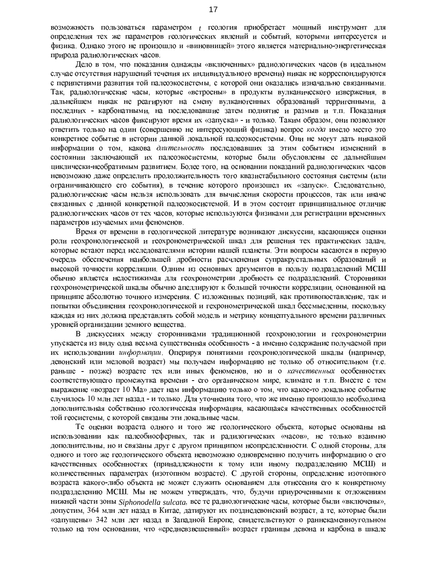возможность пользоваться параметром <sub>t</sub> геология приобретает мощный инструмент для определения тех же параметров геологических явлений и событий, которыми интересуется и физика. Однако этого не произошло и «виновницей» этого является материально-энергетическая природа радиологических часов.

Дело в том, что показания однажды «включенных» радиологических часов (в идеальном случае отсутствия нарушений течения их индивидуального времени) никак не корреспондируются с перипетиями развития той палеоэкосистемы, с которой они оказались изначально связанными. Так, радиологические часы, которые «встроены» в продукты вулканического извержения, в дальнейшем никак не реагируют на смену вулканогенных образований терригенными, а последних - карбонатными, на последовавшие затем поднятие и размыв и т.п. Показания радиологических часов фиксируют время их «запуска» - и только. Таким образом, они позволяют ответить только на один (совершенно не интересующий физика) вопрос когда имело место это конкретное событие в истории данной локальной палеоэкосистемы. Они не могут дать никакой информации о том, какова длительность последовавших за этим событием изменений в состоянии заключающей их палеоэкосистемы, которые были обусловлены ее дальнейшим циклически-необратимым развитием. Более того, на основании показаний радиологических часов невозможно даже определить продолжительность того квазистабильного состояния системы (или ограничивающего его события), в течение которого произошел их «запуск». Следовательно, радиологические часы нельзя использовать для вычисления скорости процессов, так или иначе связанных с данной конкретной палеоэкосистемой. И в этом состоит принципиальное отличие радиологических часов от тех часов, которые используются физиками для регистрации временных параметров изучаемых ими феноменов.

Время от времени в геологической литературе возникают дискуссии, касающиеся оценки роли геохронологической и геохронометрической шкал для решения тех практических задач, которые встают перед исследователями истории нашей планеты. Эти вопросы касаются в первую очередь обеспечения наибольшей дробности расчленения супракрустальных образований и высокой точности корреляции. Одним из основных аргументов в пользу подразделений МСШ обычно является недостижимая для геохронометрии дробность ее подразделений. Сторонники геохронометрической шкалы обычно апеллируют к большей точности корреляции, основанной на принципе абсолютно точного измерения. С изложенных позиций, как противопоставление, так и попытки объединения геохронологической и гехронометрической шкал бессмысленны, поскольку каждая из них должна представлять собой модель и метрику концептуального времени различных уровней организации земного вещества.

В дискуссиях между сторонниками традиционной геохронологии и геохронометрии упускается из виду одна весьма существенная особенность - а именно содержание получаемой при их использовании информации. Оперируя понятиями геохронологической шкалы (например, девонский или меловой возраст) мы получаем информацию не только об относительном (т.е. раньше - позже) возрасте тех или иных феноменов, но и о качественных особенностях соответствующего промежутка времени - его органическом мире, климате и т.п. Вместе с тем выражение «возраст 10 Ma» дает нам информацию только о том, что какое-то локальное событие случилось 10 млн лет назад - и только. Для уточнения того, что же именно произошло необходима дополнительная собственно геологическая информация, касающаяся качественных особенностей той геосистемы, с которой связаны эти локальные часы.

Те оценки возраста одного и того же геологического объекта, которые основаны на использовании как палеобиосферных, так и радилогических «часов», не только взаимно дополнительны, но и связаны друг с другом принципом неопределенности. С одной стороны, для одного и того же геологического объекта невозможно одновременно получить информацию о его качественных особенностях (принадлежности к тому или иному подразделению МСШ) и количественных параметрах (изотопном возрасте). С другой стороны, определение изотопного возраста какого-либо объекта не может служить основанием для отнесения его к конкретному подразделению МСШ. Мы не можем утверждать, что, будучи приуроченными к отложениям нижней части зоны Siphonodella sulcata, все те радиологические часы, которые были «включены», допустим, 364 млн лет назад в Китае, датируют их позднедевонский возраст, а те, которые были «запущены» 342 млн лет назад в Западной Европе, свидетельствуют о раннекаменноугольном только на том основании, что «средневзвешенный» возраст границы девона и карбона в шкале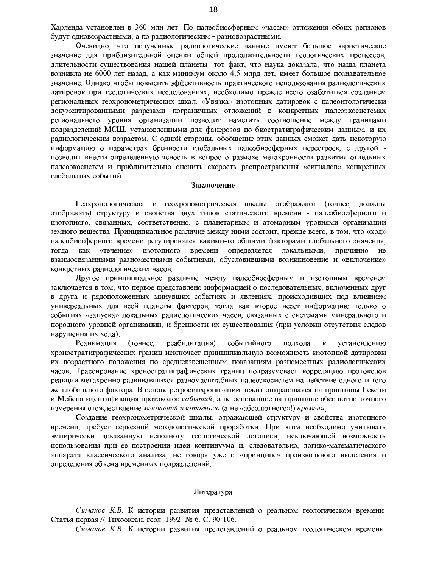Харленда установлен в 360 млн лет. По палеобиосферным «часам» отложения обоих регионов будут одновозрастными, а по радиологическим - разновозрастными.

Очевидно, что полученные радиологические данные имеют большое эвристическое значение для приблизительной оценки общей продолжительности геологических процессов, длительности существования нашей планеты: тот факт, что наука доказала, что наша планета возникла не 6000 лет назад, а как минимум около 4,5 млрд лет, имеет большое познавательное значение. Однако чтобы повысить эффективность практического использования радиологических датировок при геологических исследованиях, необходимо прежде всего озаботиться созданием региональных геохронометрических шкал. «Увязка» изотопных датировок с палеонтологически документированными разрезами пограничных отложений в конкретных палеоэкосистемах регионального уровня организации позволит наметить соотношение между границами подразделений МСШ, установленными для фанерозоя по биостратиграфическим данным, и их радиологическим возрастом. С одной стороны, обобщение этих данных сможет дать некоторую информацию о параметрах бренности глобальных палеобиосферных перестроек, с другой позволит внести определенную ясность в вопрос о размахе метахронности развития отдельных палеоэкосистем и приблизительно оценить скорость распространения «сигналов» конкретных глобальных событий.

#### Заключение

Геохронологическая и геохронометрическая шкалы отображают (точнее, должны отображать) структуру и свойства двух типов статического времени - палеобиосферного и изотопного, связанных, соответственно, с планетарным и атомарным уровнями организации земного вещества. Принципиальное различие между ними состоит, прежде всего, в том, что «ход» палеобиосферного времени регулировался какими-то общими факторами глобального значения, «течение» изотопного времени определяется локальными, причинно тогда как He взаимосвязанными разноместными событиями, обусловившими возникновение и «включение» конкретных радиологических часов.

Другое принципиальное различие между палеобиосферным и изотопным временем заключается в том, что первое представлено информацией о последовательных, включенных друг в друга и рядоположенных минувших событиях и явлениях, происходивших под влиянием универсальных для всей планеты факторов, тогда как второе несет информацию только о событиях «запуска» локальных радиологических часов, связанных с системами минерального и породного уровней организации, и бренности их существования (при условии отсутствия следов нарушения их хода).

реабилитация) Реанимация (точнее, событийного подхода  $\mathbf{K}$ установлению хроностратиграфических границ исключает принципиальную возможность изотопной датировки их возрастного положения по средневзвешенным показаниям разноместных радиологических часов. Трассирование хроностратиграфических границ подразумевает корреляцию протоколов реакции метахронно развивавшихся разномасштабных палеоэкосистем на действие одного и того же глобального фактора. В основе ретросинхронизации лежит опирающаяся на принципы Гексли и Мейена идентификация протоколов событий, а не основанное на принципе абсолютно точного измерения отождествление мгновений изотопного (а не «абсолютного»!) времени

Создание геохронометрической шкалы, отражающей структуру и свойства изотопного времени, требует серьезной методологической проработки. При этом необходимо учитывать эмпирически доказанную неполноту геологической летописи, исключающей возможность использования при ее построении идеи континуума и, следовательно, логико-математического аппарата классического анализа, не говоря уже о «принципе» произвольного выделения и определения объема временных подразделений.

# Литература

Симаков К.В. К истории развития представлений о реальном геологическом времени. Статья первая // Тихоокеан. геол. 1992. № 6. С. 90-106.

Симаков К.В. К истории развития представлений о реальном геологическом времени.